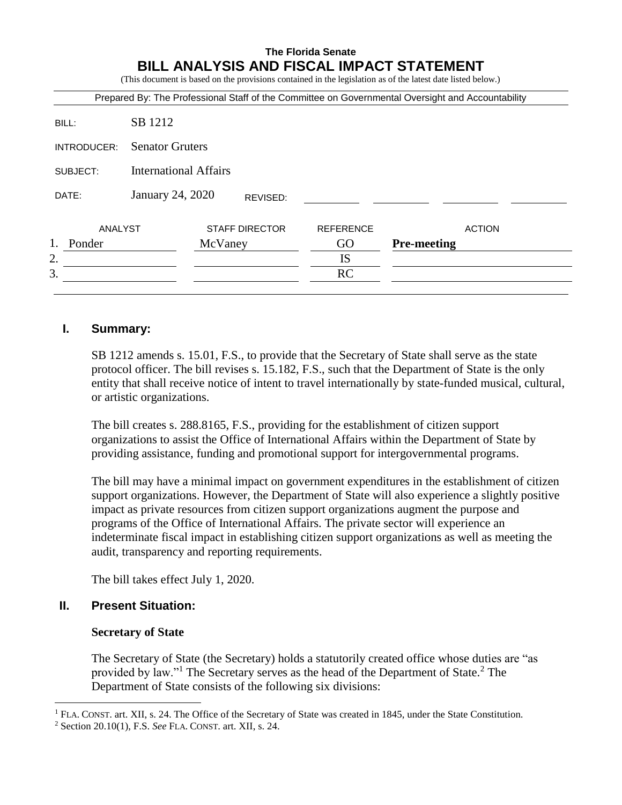# **The Florida Senate BILL ANALYSIS AND FISCAL IMPACT STATEMENT**

(This document is based on the provisions contained in the legislation as of the latest date listed below.)

|              |                              |                       |                  | Prepared By: The Professional Staff of the Committee on Governmental Oversight and Accountability |
|--------------|------------------------------|-----------------------|------------------|---------------------------------------------------------------------------------------------------|
| BILL:        | SB 1212                      |                       |                  |                                                                                                   |
| INTRODUCER:  | <b>Senator Gruters</b>       |                       |                  |                                                                                                   |
| SUBJECT:     | <b>International Affairs</b> |                       |                  |                                                                                                   |
| DATE:        | January 24, 2020             | REVISED:              |                  |                                                                                                   |
| ANALYST      |                              | <b>STAFF DIRECTOR</b> | <b>REFERENCE</b> | <b>ACTION</b>                                                                                     |
| 1.<br>Ponder |                              | McVaney               | GO               | <b>Pre-meeting</b>                                                                                |
| 2.           |                              |                       | <b>IS</b>        |                                                                                                   |
| 3.           |                              |                       | RC               |                                                                                                   |

## **I. Summary:**

SB 1212 amends s. 15.01, F.S., to provide that the Secretary of State shall serve as the state protocol officer. The bill revises s. 15.182, F.S., such that the Department of State is the only entity that shall receive notice of intent to travel internationally by state-funded musical, cultural, or artistic organizations.

The bill creates s. 288.8165, F.S., providing for the establishment of citizen support organizations to assist the Office of International Affairs within the Department of State by providing assistance, funding and promotional support for intergovernmental programs.

The bill may have a minimal impact on government expenditures in the establishment of citizen support organizations. However, the Department of State will also experience a slightly positive impact as private resources from citizen support organizations augment the purpose and programs of the Office of International Affairs. The private sector will experience an indeterminate fiscal impact in establishing citizen support organizations as well as meeting the audit, transparency and reporting requirements.

The bill takes effect July 1, 2020.

# **II. Present Situation:**

 $\overline{a}$ 

#### **Secretary of State**

The Secretary of State (the Secretary) holds a statutorily created office whose duties are "as provided by law."<sup>1</sup> The Secretary serves as the head of the Department of State.<sup>2</sup> The Department of State consists of the following six divisions:

<sup>&</sup>lt;sup>1</sup> FLA. CONST. art. XII, s. 24. The Office of the Secretary of State was created in 1845, under the State Constitution.

<sup>2</sup> Section 20.10(1), F.S. *See* FLA. CONST. art. XII, s. 24.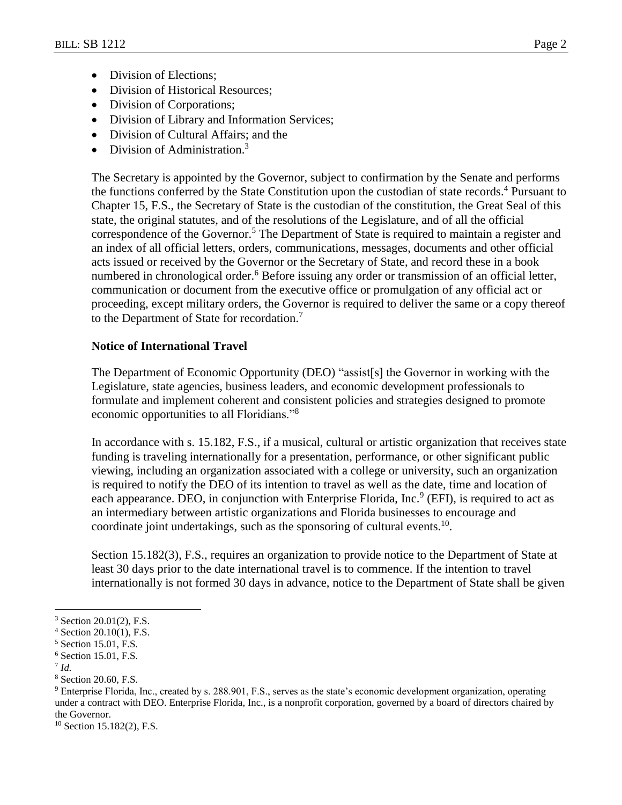- Division of Elections:
- Division of Historical Resources;
- Division of Corporations;
- Division of Library and Information Services;
- Division of Cultural Affairs; and the
- Division of Administration.<sup>3</sup>

The Secretary is appointed by the Governor, subject to confirmation by the Senate and performs the functions conferred by the State Constitution upon the custodian of state records.<sup>4</sup> Pursuant to Chapter 15, F.S., the Secretary of State is the custodian of the constitution, the Great Seal of this state, the original statutes, and of the resolutions of the Legislature, and of all the official correspondence of the Governor. <sup>5</sup> The Department of State is required to maintain a register and an index of all official letters, orders, communications, messages, documents and other official acts issued or received by the Governor or the Secretary of State, and record these in a book numbered in chronological order.<sup>6</sup> Before issuing any order or transmission of an official letter, communication or document from the executive office or promulgation of any official act or proceeding, except military orders, the Governor is required to deliver the same or a copy thereof to the Department of State for recordation.<sup>7</sup>

#### **Notice of International Travel**

The Department of Economic Opportunity (DEO) "assist[s] the Governor in working with the Legislature, state agencies, business leaders, and economic development professionals to formulate and implement coherent and consistent policies and strategies designed to promote economic opportunities to all Floridians."<sup>8</sup>

In accordance with s. 15.182, F.S., if a musical, cultural or artistic organization that receives state funding is traveling internationally for a presentation, performance, or other significant public viewing, including an organization associated with a college or university, such an organization is required to notify the DEO of its intention to travel as well as the date, time and location of each appearance. DEO, in conjunction with Enterprise Florida, Inc.  $9$  (EFI), is required to act as an intermediary between artistic organizations and Florida businesses to encourage and coordinate joint undertakings, such as the sponsoring of cultural events. $10$ .

Section 15.182(3), F.S., requires an organization to provide notice to the Department of State at least 30 days prior to the date international travel is to commence. If the intention to travel internationally is not formed 30 days in advance, notice to the Department of State shall be given

7 *Id.* 

 $\overline{a}$ 

<sup>10</sup> Section 15.182(2), F.S.

<sup>3</sup> Section 20.01(2), F.S.

 $4$  Section 20.10(1), F.S.

<sup>5</sup> Section 15.01, F.S.

<sup>6</sup> Section 15.01, F.S.

<sup>8</sup> Section 20.60, F.S.

<sup>&</sup>lt;sup>9</sup> Enterprise Florida, Inc., created by s. 288.901, F.S., serves as the state's economic development organization, operating under a contract with DEO. Enterprise Florida, Inc., is a nonprofit corporation, governed by a board of directors chaired by the Governor.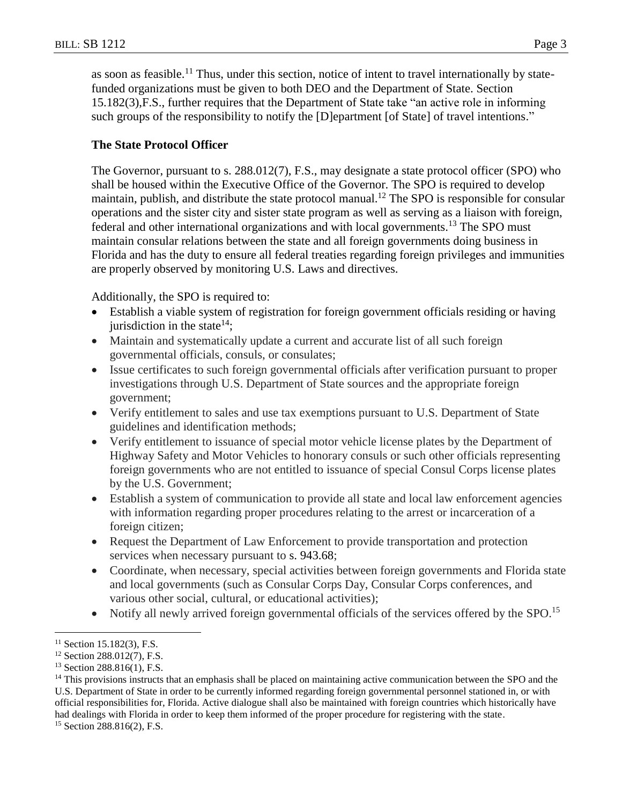as soon as feasible.<sup>11</sup> Thus, under this section, notice of intent to travel internationally by statefunded organizations must be given to both DEO and the Department of State. Section 15.182(3),F.S., further requires that the Department of State take "an active role in informing such groups of the responsibility to notify the [D]epartment [of State] of travel intentions."

# **The State Protocol Officer**

The Governor, pursuant to s. 288.012(7), F.S., may designate a state protocol officer (SPO) who shall be housed within the Executive Office of the Governor. The SPO is required to develop maintain, publish, and distribute the state protocol manual.<sup>12</sup> The SPO is responsible for consular operations and the sister city and sister state program as well as serving as a liaison with foreign, federal and other international organizations and with local governments.<sup>13</sup> The SPO must maintain consular relations between the state and all foreign governments doing business in Florida and has the duty to ensure all federal treaties regarding foreign privileges and immunities are properly observed by monitoring U.S. Laws and directives.

Additionally, the SPO is required to:

- Establish a viable system of registration for foreign government officials residing or having jurisdiction in the state<sup>14</sup>;
- Maintain and systematically update a current and accurate list of all such foreign governmental officials, consuls, or consulates;
- Issue certificates to such foreign governmental officials after verification pursuant to proper investigations through U.S. Department of State sources and the appropriate foreign government;
- Verify entitlement to sales and use tax exemptions pursuant to U.S. Department of State guidelines and identification methods;
- Verify entitlement to issuance of special motor vehicle license plates by the Department of Highway Safety and Motor Vehicles to honorary consuls or such other officials representing foreign governments who are not entitled to issuance of special Consul Corps license plates by the U.S. Government;
- Establish a system of communication to provide all state and local law enforcement agencies with information regarding proper procedures relating to the arrest or incarceration of a foreign citizen;
- Request the Department of Law Enforcement to provide transportation and protection services when necessary pursuant to [s. 943.68;](https://1.next.westlaw.com/Link/Document/FullText?findType=L&pubNum=1000006&cite=FLSTS943.68&originatingDoc=NF1699400E90611E2A5EFA1428CB399FF&refType=LQ&originationContext=document&transitionType=DocumentItem&contextData=(sc.Search))
- Coordinate, when necessary, special activities between foreign governments and Florida state and local governments (such as Consular Corps Day, Consular Corps conferences, and various other social, cultural, or educational activities);
- Notify all newly arrived foreign governmental officials of the services offered by the SPO.<sup>15</sup>

 $\overline{a}$ 

 $11$  Section 15.182(3), F.S.

<sup>12</sup> Section 288.012(7), F.S.

<sup>&</sup>lt;sup>13</sup> Section 288.816(1), F.S.

<sup>&</sup>lt;sup>14</sup> This provisions instructs that an emphasis shall be placed on maintaining active communication between the SPO and the U.S. Department of State in order to be currently informed regarding foreign governmental personnel stationed in, or with official responsibilities for, Florida. Active dialogue shall also be maintained with foreign countries which historically have had dealings with Florida in order to keep them informed of the proper procedure for registering with the state.

<sup>15</sup> Section 288.816(2), F.S.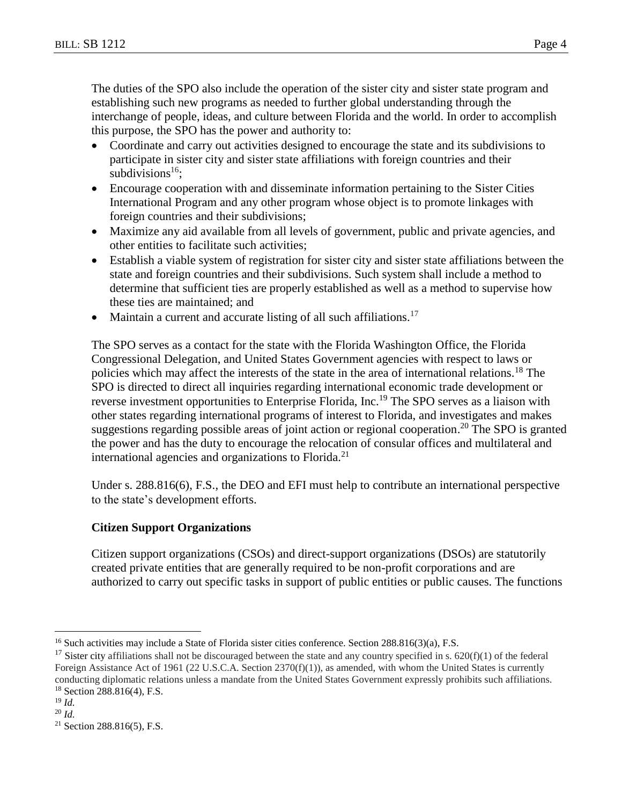The duties of the SPO also include the operation of the sister city and sister state program and establishing such new programs as needed to further global understanding through the interchange of people, ideas, and culture between Florida and the world. In order to accomplish this purpose, the SPO has the power and authority to:

- Coordinate and carry out activities designed to encourage the state and its subdivisions to participate in sister city and sister state affiliations with foreign countries and their subdivisions<sup>16</sup>;
- Encourage cooperation with and disseminate information pertaining to the Sister Cities International Program and any other program whose object is to promote linkages with foreign countries and their subdivisions;
- Maximize any aid available from all levels of government, public and private agencies, and other entities to facilitate such activities;
- Establish a viable system of registration for sister city and sister state affiliations between the state and foreign countries and their subdivisions. Such system shall include a method to determine that sufficient ties are properly established as well as a method to supervise how these ties are maintained; and
- Maintain a current and accurate listing of all such affiliations.<sup>17</sup>

The SPO serves as a contact for the state with the Florida Washington Office, the Florida Congressional Delegation, and United States Government agencies with respect to laws or policies which may affect the interests of the state in the area of international relations.<sup>18</sup> The SPO is directed to direct all inquiries regarding international economic trade development or reverse investment opportunities to Enterprise Florida, Inc.<sup>19</sup> The SPO serves as a liaison with other states regarding international programs of interest to Florida, and investigates and makes suggestions regarding possible areas of joint action or regional cooperation.<sup>20</sup> The SPO is granted the power and has the duty to encourage the relocation of consular offices and multilateral and international agencies and organizations to Florida.<sup>21</sup>

Under s. 288.816(6), F.S., the DEO and EFI must help to contribute an international perspective to the state's development efforts.

## **Citizen Support Organizations**

Citizen support organizations (CSOs) and direct-support organizations (DSOs) are statutorily created private entities that are generally required to be non-profit corporations and are authorized to carry out specific tasks in support of public entities or public causes. The functions

 $\overline{a}$ 

<sup>&</sup>lt;sup>16</sup> Such activities may include a State of Florida sister cities conference. Section 288.816(3)(a), F.S.

<sup>&</sup>lt;sup>17</sup> Sister city affiliations shall not be discouraged between the state and any country specified in s.  $620(f)(1)$  of the federal Foreign Assistance Act of 1961 (22 U.S.C.A. Section  $2370(f)(1)$ ), as amended, with whom the United States is currently conducting diplomatic relations unless a mandate from the United States Government expressly prohibits such affiliations. <sup>18</sup> Section 288.816(4), F.S.

 $19$  *Id.* 

<sup>20</sup> *Id.*

<sup>21</sup> Section 288.816(5), F.S.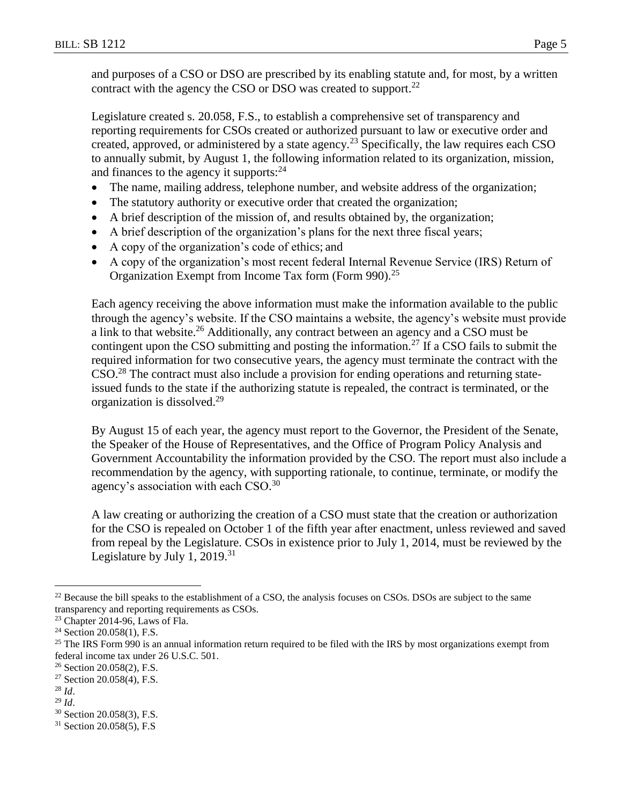and purposes of a CSO or DSO are prescribed by its enabling statute and, for most, by a written contract with the agency the CSO or DSO was created to support.<sup>22</sup>

Legislature created s. 20.058, F.S., to establish a comprehensive set of transparency and reporting requirements for CSOs created or authorized pursuant to law or executive order and created, approved, or administered by a state agency.<sup>23</sup> Specifically, the law requires each CSO to annually submit, by August 1, the following information related to its organization, mission, and finances to the agency it supports: $24$ 

- The name, mailing address, telephone number, and website address of the organization;
- The statutory authority or executive order that created the organization;
- A brief description of the mission of, and results obtained by, the organization;
- A brief description of the organization's plans for the next three fiscal years;
- A copy of the organization's code of ethics; and
- A copy of the organization's most recent federal Internal Revenue Service (IRS) Return of Organization Exempt from Income Tax form (Form 990).<sup>25</sup>

Each agency receiving the above information must make the information available to the public through the agency's website. If the CSO maintains a website, the agency's website must provide a link to that website.<sup>26</sup> Additionally, any contract between an agency and a CSO must be contingent upon the CSO submitting and posting the information.<sup>27</sup> If a CSO fails to submit the required information for two consecutive years, the agency must terminate the contract with the CSO.<sup>28</sup> The contract must also include a provision for ending operations and returning stateissued funds to the state if the authorizing statute is repealed, the contract is terminated, or the organization is dissolved.<sup>29</sup>

By August 15 of each year, the agency must report to the Governor, the President of the Senate, the Speaker of the House of Representatives, and the Office of Program Policy Analysis and Government Accountability the information provided by the CSO. The report must also include a recommendation by the agency, with supporting rationale, to continue, terminate, or modify the agency's association with each CSO. $^{30}$ 

A law creating or authorizing the creation of a CSO must state that the creation or authorization for the CSO is repealed on October 1 of the fifth year after enactment, unless reviewed and saved from repeal by the Legislature. CSOs in existence prior to July 1, 2014, must be reviewed by the Legislature by July 1,  $2019.<sup>31</sup>$ 

 $\overline{a}$ 

 $22$  Because the bill speaks to the establishment of a CSO, the analysis focuses on CSOs. DSOs are subject to the same transparency and reporting requirements as CSOs.

<sup>23</sup> Chapter 2014-96, Laws of Fla.

<sup>24</sup> Section 20.058(1), F.S.

 $25$  The IRS Form 990 is an annual information return required to be filed with the IRS by most organizations exempt from federal income tax under 26 U.S.C. 501.

<sup>&</sup>lt;sup>26</sup> Section 20.058(2), F.S.

<sup>27</sup> Section 20.058(4), F.S.

<sup>28</sup> *Id*.

<sup>29</sup> *Id*.

<sup>30</sup> Section 20.058(3), F.S.

<sup>31</sup> Section 20.058(5), F.S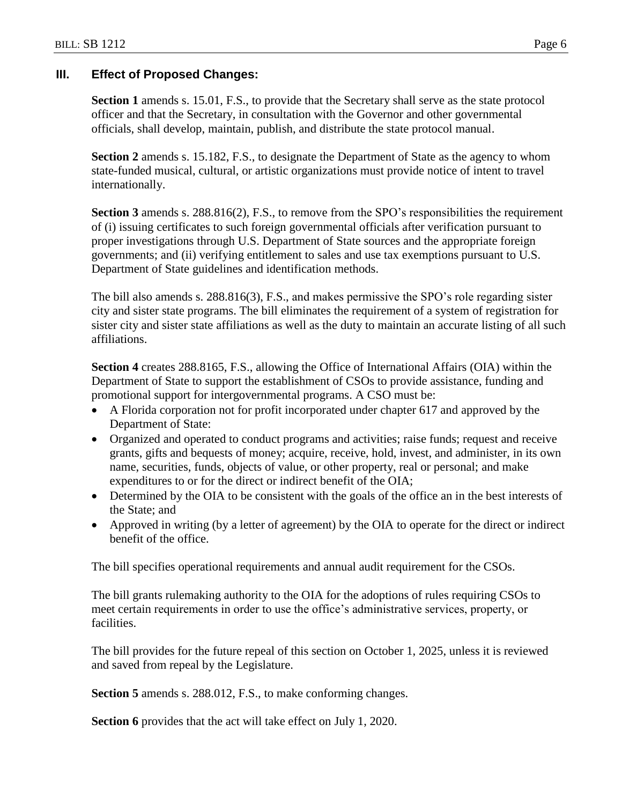## **III. Effect of Proposed Changes:**

**Section 1** amends s. 15.01, F.S., to provide that the Secretary shall serve as the state protocol officer and that the Secretary, in consultation with the Governor and other governmental officials, shall develop, maintain, publish, and distribute the state protocol manual.

**Section 2** amends s. 15.182, F.S., to designate the Department of State as the agency to whom state-funded musical, cultural, or artistic organizations must provide notice of intent to travel internationally.

Section 3 amends s. 288.816(2), F.S., to remove from the SPO's responsibilities the requirement of (i) issuing certificates to such foreign governmental officials after verification pursuant to proper investigations through U.S. Department of State sources and the appropriate foreign governments; and (ii) verifying entitlement to sales and use tax exemptions pursuant to U.S. Department of State guidelines and identification methods.

The bill also amends s. 288.816(3), F.S., and makes permissive the SPO's role regarding sister city and sister state programs. The bill eliminates the requirement of a system of registration for sister city and sister state affiliations as well as the duty to maintain an accurate listing of all such affiliations.

**Section 4** creates 288.8165, F.S., allowing the Office of International Affairs (OIA) within the Department of State to support the establishment of CSOs to provide assistance, funding and promotional support for intergovernmental programs. A CSO must be:

- A Florida corporation not for profit incorporated under chapter 617 and approved by the Department of State:
- Organized and operated to conduct programs and activities; raise funds; request and receive grants, gifts and bequests of money; acquire, receive, hold, invest, and administer, in its own name, securities, funds, objects of value, or other property, real or personal; and make expenditures to or for the direct or indirect benefit of the OIA;
- Determined by the OIA to be consistent with the goals of the office an in the best interests of the State; and
- Approved in writing (by a letter of agreement) by the OIA to operate for the direct or indirect benefit of the office.

The bill specifies operational requirements and annual audit requirement for the CSOs.

The bill grants rulemaking authority to the OIA for the adoptions of rules requiring CSOs to meet certain requirements in order to use the office's administrative services, property, or facilities.

The bill provides for the future repeal of this section on October 1, 2025, unless it is reviewed and saved from repeal by the Legislature.

**Section 5** amends s. 288.012, F.S., to make conforming changes.

**Section 6** provides that the act will take effect on July 1, 2020.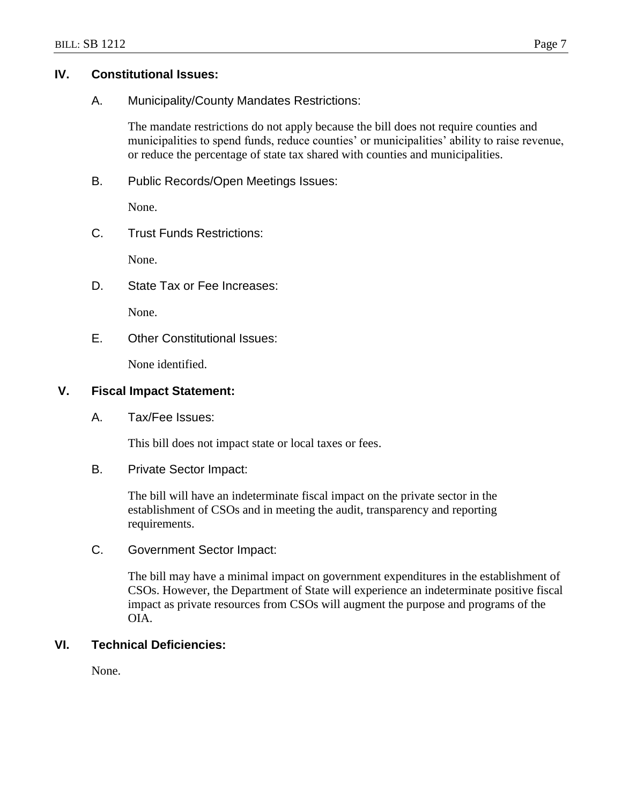## **IV. Constitutional Issues:**

A. Municipality/County Mandates Restrictions:

The mandate restrictions do not apply because the bill does not require counties and municipalities to spend funds, reduce counties' or municipalities' ability to raise revenue, or reduce the percentage of state tax shared with counties and municipalities.

B. Public Records/Open Meetings Issues:

None.

C. Trust Funds Restrictions:

None.

D. State Tax or Fee Increases:

None.

E. Other Constitutional Issues:

None identified.

## **V. Fiscal Impact Statement:**

A. Tax/Fee Issues:

This bill does not impact state or local taxes or fees.

B. Private Sector Impact:

The bill will have an indeterminate fiscal impact on the private sector in the establishment of CSOs and in meeting the audit, transparency and reporting requirements.

C. Government Sector Impact:

The bill may have a minimal impact on government expenditures in the establishment of CSOs. However, the Department of State will experience an indeterminate positive fiscal impact as private resources from CSOs will augment the purpose and programs of the OIA.

# **VI. Technical Deficiencies:**

None.